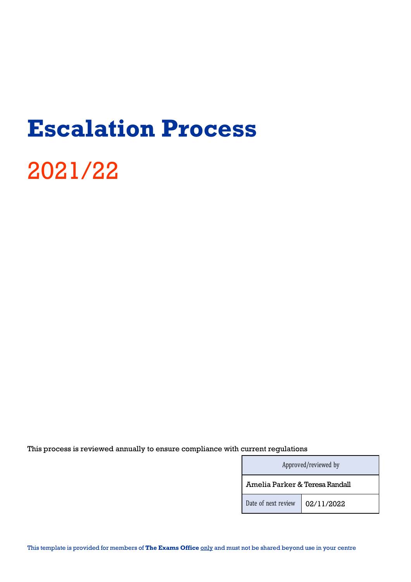## **Escalation Process**

# 2021/22

This process is reviewed annually to ensure compliance with current regulations

| Approved/reviewed by           |            |
|--------------------------------|------------|
| Amelia Parker & Teresa Randall |            |
| Date of next review            | 02/11/2022 |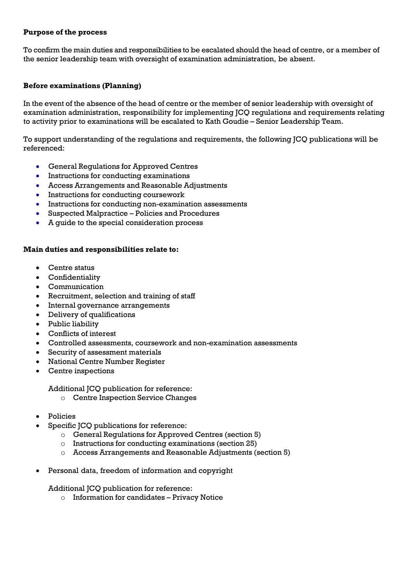## **Purpose of the process**

To confirm the main duties and responsibilities to be escalated should the head of centre, or a member of the senior leadership team with oversight of examination administration, be absent.

## **Before examinations (Planning)**

In the event of the absence of the head of centre or the member of senior leadership with oversight of examination administration, responsibility for implementing JCQ regulations and requirements relating to activity prior to examinations will be escalated to Kath Goudie – Senior Leadership Team.

To support understanding of the regulations and requirements, the following JCQ publications will be referenced:

- General Regulations for Approved Centres
- Instructions for conducting examinations
- Access Arrangements and Reasonable Adjustments
- Instructions for conducting coursework
- Instructions for conducting non-examination assessments
- Suspected Malpractice Policies and Procedures
- A guide to the special consideration process

#### **Main duties and responsibilities relate to:**

- Centre status
- Confidentiality
- Communication
- Recruitment, selection and training of staff
- Internal governance arrangements
- Delivery of qualifications
- Public liability
- Conflicts of interest
- Controlled assessments, coursework and non-examination assessments
- Security of assessment materials
- National Centre Number Register
- Centre inspections

Additional JCQ publication for reference:

- o Centre Inspection Service Changes
- Policies
- Specific JCQ publications for reference:
	- o General Regulations for Approved Centres (section 5)
	- o Instructions for conducting examinations (section 25)
	- o Access Arrangements and Reasonable Adjustments (section 5)
- Personal data, freedom of information and copyright

Additional JCQ publication for reference:

o Information for candidates – Privacy Notice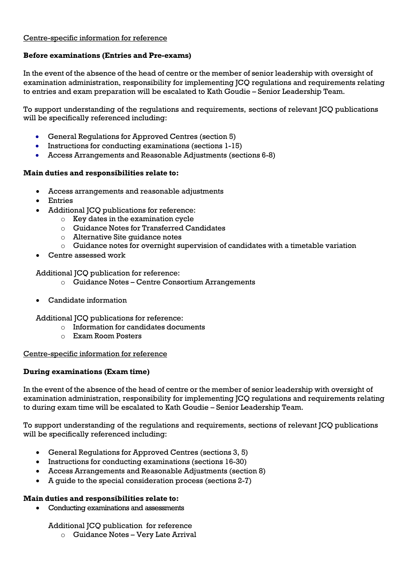## Centre-specific information for reference

## **Before examinations (Entries and Pre-exams)**

In the event of the absence of the head of centre or the member of senior leadership with oversight of examination administration, responsibility for implementing JCQ regulations and requirements relating to entries and exam preparation will be escalated to Kath Goudie – Senior Leadership Team.

To support understanding of the regulations and requirements, sections of relevant JCQ publications will be specifically referenced including:

- General Regulations for Approved Centres (section 5)
- Instructions for conducting examinations (sections 1-15)
- Access Arrangements and Reasonable Adjustments (sections 6-8)

#### **Main duties and responsibilities relate to:**

- Access arrangements and reasonable adjustments
- Entries
- Additional JCQ publications for reference:
	- $\circ$  Key dates in the examination cycle
	- o Guidance Notes for Transferred Candidates
	- o Alternative Site guidance notes
	- $\circ$  Guidance notes for overnight supervision of candidates with a timetable variation
- Centre assessed work

Additional JCQ publication for reference:

- o Guidance Notes Centre Consortium Arrangements
- Candidate information

Additional JCQ publications for reference:

- $\circ$  Information for candidates documents
- o Exam Room Posters

#### Centre-specific information for reference

#### **During examinations (Exam time)**

In the event of the absence of the head of centre or the member of senior leadership with oversight of examination administration, responsibility for implementing JCQ regulations and requirements relating to during exam time will be escalated to Kath Goudie – Senior Leadership Team.

To support understanding of the regulations and requirements, sections of relevant JCQ publications will be specifically referenced including:

- General Regulations for Approved Centres (sections 3, 5)
- Instructions for conducting examinations (sections 16-30)
- Access Arrangements and Reasonable Adjustments (section 8)
- A guide to the special consideration process (sections 2-7)

#### **Main duties and responsibilities relate to:**

• Conducting examinations and assessments

## Additional JCQ publication for reference

o Guidance Notes – Very Late Arrival